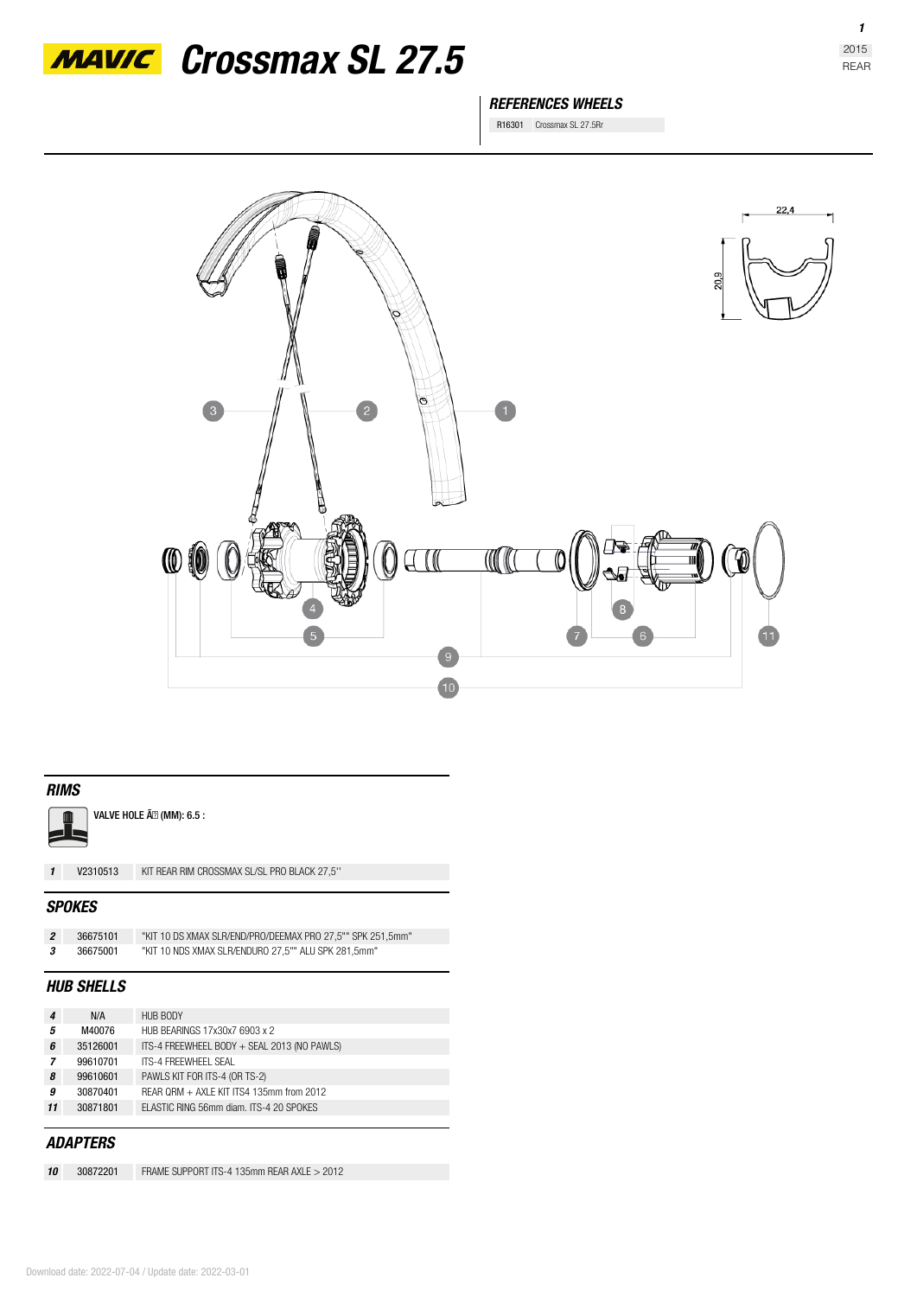

# *MAVIC* Crossmax SL 27.5

### *REFERENCES WHEELS*

R16301 Crossmax SL 27.5Rr



#### *RIMS*

VALVE HOLE Ã<sup>2</sup> (MM): 6.5 :  $\mathbf{r}$ 

*1* **V2310513** KIT REAR RIM CROSSMAX SL/SL PRO BLACK 27,5''

#### *SPOKES*

| 36675101 | "KIT 10 DS XMAX SLR/END/PRO/DEEMAX PRO 27.5"" SPK 251.5mm" |
|----------|------------------------------------------------------------|
| 36675001 | "KIT 10 NDS XMAX SLR/ENDURO 27.5"" ALU SPK 281.5mm"        |

#### *HUB SHELLS*

| 4  | N/A      | <b>HUB BODY</b>                             |
|----|----------|---------------------------------------------|
| 5  | M40076   | HUB BEARINGS 17x30x7 6903 x 2               |
| 6  | 35126001 | ITS-4 FREEWHEEL BODY + SEAL 2013 (NO PAWLS) |
| 7  | 99610701 | ITS-4 FRFFWHFFL SFAL                        |
| 8  | 99610601 | PAWLS KIT FOR ITS-4 (OR TS-2)               |
| 9  | 30870401 | REAR QRM + AXLE KIT ITS4 135mm from 2012    |
| 11 | 30871801 | FLASTIC RING 56mm diam. ITS-4 20 SPOKES     |
|    |          |                                             |

### *ADAPTERS*

*10* **30872201** FRAME SUPPORT ITS-4 135mm REAR AXLE > 2012